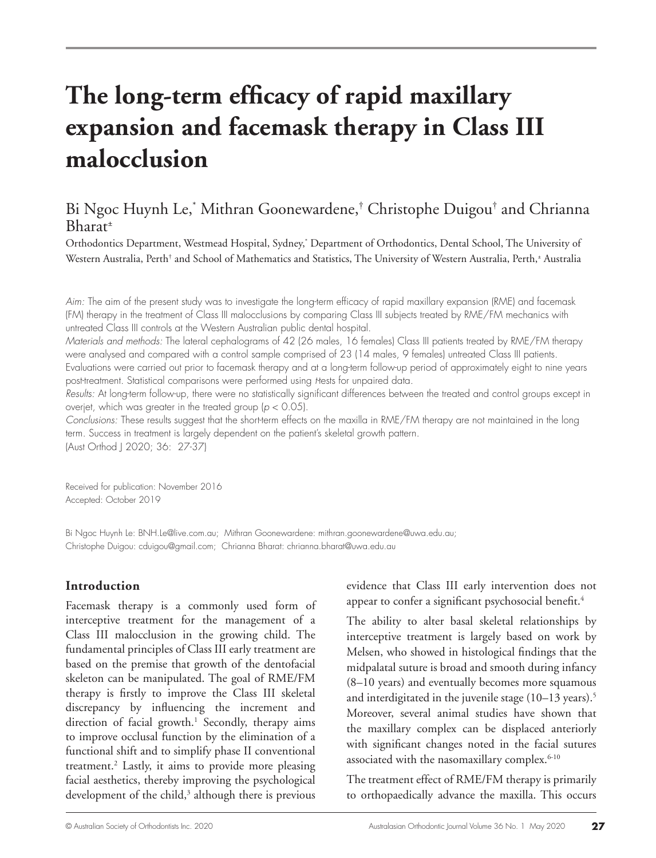# **The long-term efficacy of rapid maxillary expansion and facemask therapy in Class III malocclusion**

# Bi Ngoc Huynh Le,\* Mithran Goonewardene,† Christophe Duigou† and Chrianna Bharat±

Orthodontics Department, Westmead Hospital, Sydney,\* Department of Orthodontics, Dental School, The University of Western Australia, Perth† and School of Mathematics and Statistics, The University of Western Australia, Perth,± Australia

*Aim:* The aim of the present study was to investigate the long-term efficacy of rapid maxillary expansion (RME) and facemask (FM) therapy in the treatment of Class III malocclusions by comparing Class III subjects treated by RME/FM mechanics with untreated Class III controls at the Western Australian public dental hospital.

*Materials and methods:* The lateral cephalograms of 42 (26 males, 16 females) Class III patients treated by RME/FM therapy were analysed and compared with a control sample comprised of 23 (14 males, 9 females) untreated Class III patients. Evaluations were carried out prior to facemask therapy and at a long-term follow-up period of approximately eight to nine years post-treatment. Statistical comparisons were performed using *Hests* for unpaired data.

*Results:* At long-term follow-up, there were no statistically significant differences between the treated and control groups except in overjet, which was greater in the treated group (*p* < 0.05).

*Conclusions:* These results suggest that the short-term effects on the maxilla in RME/FM therapy are not maintained in the long term. Success in treatment is largely dependent on the patient's skeletal growth pattern. (Aust Orthod J 2020; 36: 27-37)

Received for publication: November 2016 Accepted: October 2019

Bi Ngoc Huynh Le: BNH.Le@live.com.au; Mithran Goonewardene: mithran.goonewardene@uwa.edu.au; Christophe Duigou: cduigou@gmail.com; Chrianna Bharat: chrianna.bharat@uwa.edu.au

## **Introduction**

Facemask therapy is a commonly used form of interceptive treatment for the management of a Class III malocclusion in the growing child. The fundamental principles of Class III early treatment are based on the premise that growth of the dentofacial skeleton can be manipulated. The goal of RME/FM therapy is firstly to improve the Class III skeletal discrepancy by influencing the increment and direction of facial growth.<sup>1</sup> Secondly, therapy aims to improve occlusal function by the elimination of a functional shift and to simplify phase II conventional treatment.2 Lastly, it aims to provide more pleasing facial aesthetics, thereby improving the psychological development of the child,<sup>3</sup> although there is previous evidence that Class III early intervention does not appear to confer a significant psychosocial benefit.<sup>4</sup>

The ability to alter basal skeletal relationships by interceptive treatment is largely based on work by Melsen, who showed in histological findings that the midpalatal suture is broad and smooth during infancy (8–10 years) and eventually becomes more squamous and interdigitated in the juvenile stage (10–13 years).<sup>5</sup> Moreover, several animal studies have shown that the maxillary complex can be displaced anteriorly with significant changes noted in the facial sutures associated with the nasomaxillary complex.<sup>6-10</sup>

The treatment effect of RME/FM therapy is primarily to orthopaedically advance the maxilla. This occurs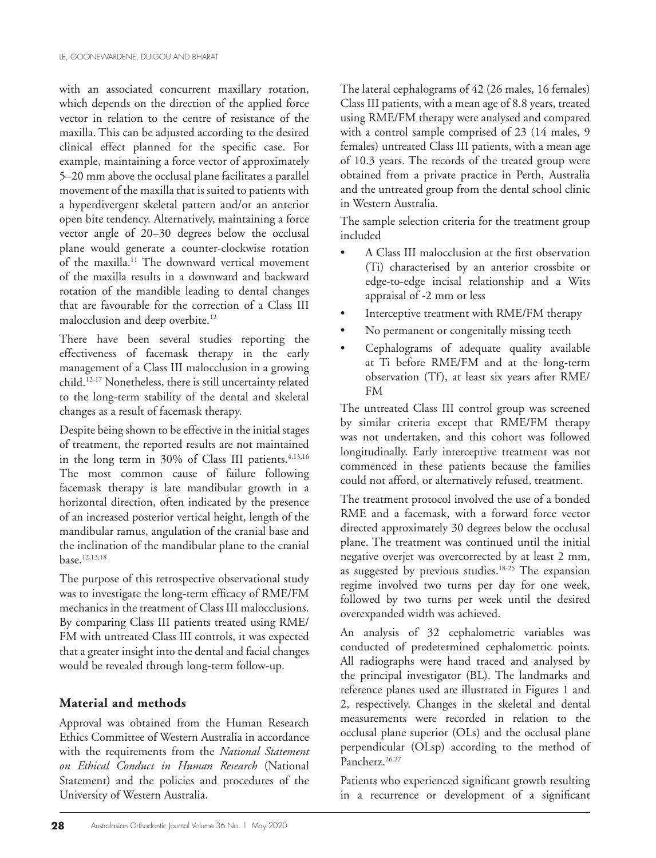with an associated concurrent maxillary rotation, which depends on the direction of the applied force vector in relation to the centre of resistance of the maxilla. This can be adjusted according to the desired clinical effect planned for the specific case. For example, maintaining a force vector of approximately 5–20 mm above the occlusal plane facilitates a parallel movement of the maxilla that is suited to patients with a hyperdivergent skeletal pattern and/or an anterior open bite tendency. Alternatively, maintaining a force vector angle of 20–30 degrees below the occlusal plane would generate a counter-clockwise rotation of the maxilla.11 The downward vertical movement of the maxilla results in a downward and backward rotation of the mandible leading to dental changes that are favourable for the correction of a Class III malocclusion and deep overbite.<sup>12</sup>

There have been several studies reporting the effectiveness of facemask therapy in the early management of a Class III malocclusion in a growing child.12-17 Nonetheless, there is still uncertainty related to the long-term stability of the dental and skeletal changes as a result of facemask therapy.

Despite being shown to be effective in the initial stages of treatment, the reported results are not maintained in the long term in 30% of Class III patients.<sup>4,13,16</sup> The most common cause of failure following facemask therapy is late mandibular growth in a horizontal direction, often indicated by the presence of an increased posterior vertical height, length of the mandibular ramus, angulation of the cranial base and the inclination of the mandibular plane to the cranial base.12,13,18

The purpose of this retrospective observational study was to investigate the long-term efficacy of RME/FM mechanics in the treatment of Class III malocclusions. By comparing Class III patients treated using RME/ FM with untreated Class III controls, it was expected that a greater insight into the dental and facial changes would be revealed through long-term follow-up.

## **Material and methods**

Approval was obtained from the Human Research Ethics Committee of Western Australia in accordance with the requirements from the *National Statement on Ethical Conduct in Human Research* (National Statement) and the policies and procedures of the University of Western Australia.

The lateral cephalograms of 42 (26 males, 16 females) Class III patients, with a mean age of 8.8 years, treated using RME/FM therapy were analysed and compared with a control sample comprised of 23 (14 males, 9 females) untreated Class III patients, with a mean age of 10.3 years. The records of the treated group were obtained from a private practice in Perth, Australia and the untreated group from the dental school clinic in Western Australia.

The sample selection criteria for the treatment group included

- A Class III malocclusion at the first observation (Ti) characterised by an anterior crossbite or edge-to-edge incisal relationship and a Wits appraisal of -2 mm or less
- Interceptive treatment with RME/FM therapy
- No permanent or congenitally missing teeth
- Cephalograms of adequate quality available at Ti before RME/FM and at the long-term observation (Tf), at least six years after RME/ FM

The untreated Class III control group was screened by similar criteria except that RME/FM therapy was not undertaken, and this cohort was followed longitudinally. Early interceptive treatment was not commenced in these patients because the families could not afford, or alternatively refused, treatment.

The treatment protocol involved the use of a bonded RME and a facemask, with a forward force vector directed approximately 30 degrees below the occlusal plane. The treatment was continued until the initial negative overjet was overcorrected by at least 2 mm, as suggested by previous studies.18-25 The expansion regime involved two turns per day for one week, followed by two turns per week until the desired overexpanded width was achieved.

An analysis of 32 cephalometric variables was conducted of predetermined cephalometric points. All radiographs were hand traced and analysed by the principal investigator (BL). The landmarks and reference planes used are illustrated in Figures 1 and 2, respectively. Changes in the skeletal and dental measurements were recorded in relation to the occlusal plane superior (OLs) and the occlusal plane perpendicular (OLsp) according to the method of Pancherz.<sup>26,27</sup>

Patients who experienced significant growth resulting in a recurrence or development of a significant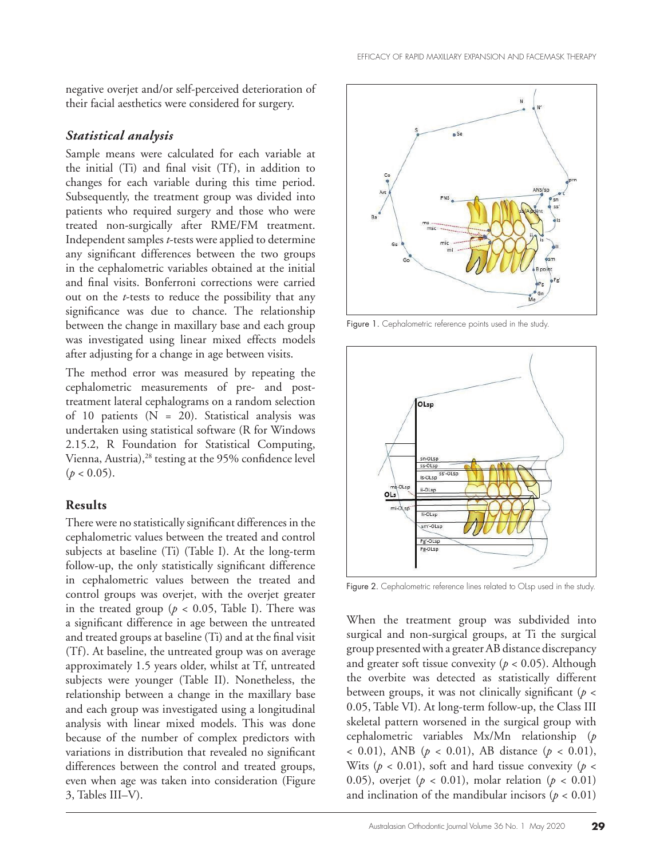negative overjet and/or self-perceived deterioration of their facial aesthetics were considered for surgery.

## *Statistical analysis*

Sample means were calculated for each variable at the initial (Ti) and final visit (Tf), in addition to changes for each variable during this time period. Subsequently, the treatment group was divided into patients who required surgery and those who were treated non-surgically after RME/FM treatment. Independent samples *t*-tests were applied to determine any significant differences between the two groups in the cephalometric variables obtained at the initial and final visits. Bonferroni corrections were carried out on the *t*-tests to reduce the possibility that any significance was due to chance. The relationship between the change in maxillary base and each group was investigated using linear mixed effects models after adjusting for a change in age between visits.

The method error was measured by repeating the cephalometric measurements of pre- and posttreatment lateral cephalograms on a random selection of 10 patients  $(N = 20)$ . Statistical analysis was undertaken using statistical software (R for Windows 2.15.2, R Foundation for Statistical Computing, Vienna, Austria),<sup>28</sup> testing at the 95% confidence level  $(p < 0.05)$ .

## **Results**

There were no statistically significant differences in the cephalometric values between the treated and control subjects at baseline (Ti) (Table I). At the long-term follow-up, the only statistically significant difference in cephalometric values between the treated and control groups was overjet, with the overjet greater in the treated group ( $p < 0.05$ , Table I). There was a significant difference in age between the untreated and treated groups at baseline (Ti) and at the final visit (Tf). At baseline, the untreated group was on average approximately 1.5 years older, whilst at Tf, untreated subjects were younger (Table II). Nonetheless, the relationship between a change in the maxillary base and each group was investigated using a longitudinal analysis with linear mixed models. This was done because of the number of complex predictors with variations in distribution that revealed no significant differences between the control and treated groups, even when age was taken into consideration (Figure 3, Tables III–V).



Figure 1. Cephalometric reference points used in the study.



Figure 2. Cephalometric reference lines related to OLsp used in the study.

When the treatment group was subdivided into surgical and non-surgical groups, at Ti the surgical group presented with a greater AB distance discrepancy and greater soft tissue convexity (*p* < 0.05). Although the overbite was detected as statistically different between groups, it was not clinically significant (*p* < 0.05, Table VI). At long-term follow-up, the Class III skeletal pattern worsened in the surgical group with cephalometric variables Mx/Mn relationship (*p* < 0.01), ANB (*p* < 0.01), AB distance (*p* < 0.01), Wits ( $p < 0.01$ ), soft and hard tissue convexity ( $p <$ 0.05), overjet ( $p < 0.01$ ), molar relation ( $p < 0.01$ ) and inclination of the mandibular incisors ( $p < 0.01$ )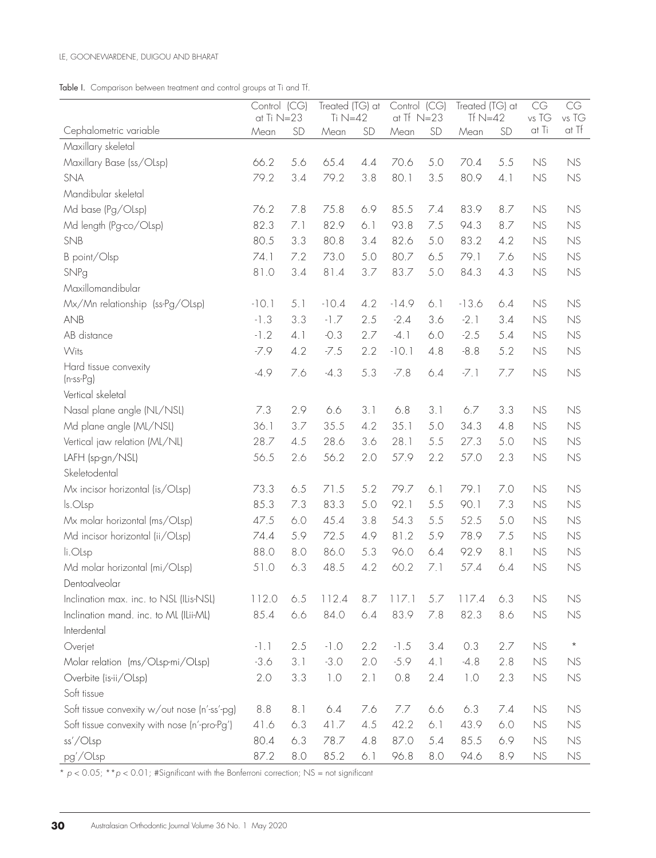|  | Table I. Comparison between treatment and control groups at Ti and Tf. |  |  |  |  |  |  |  |  |
|--|------------------------------------------------------------------------|--|--|--|--|--|--|--|--|
|--|------------------------------------------------------------------------|--|--|--|--|--|--|--|--|

|                                              | Control (CG)<br>at Ti $N=23$ |     | Treated (TG) at<br>Ti $N=42$ |           | Control (CG)<br>at $TF$ $N=23$ |     | Treated (TG) at<br>Tf $N=42$ |     | CG<br>vs TG | CG<br>vs TG                       |
|----------------------------------------------|------------------------------|-----|------------------------------|-----------|--------------------------------|-----|------------------------------|-----|-------------|-----------------------------------|
| Cephalometric variable                       | Mean                         | SD  | Mean                         | <b>SD</b> | Mean                           | SD  | Mean                         | SD  | at Ti       | at Tf                             |
| Maxillary skeletal                           |                              |     |                              |           |                                |     |                              |     |             |                                   |
| Maxillary Base (ss/OLsp)                     | 66.2                         | 5.6 | 65.4                         | 4.4       | 70.6                           | 5.0 | 70.4                         | 5.5 | NS          | NS                                |
| SNA                                          | 79.2                         | 3.4 | 79.2                         | 3.8       | 80.1                           | 3.5 | 80.9                         | 4.1 | NS          | NS                                |
| Mandibular skeletal                          |                              |     |                              |           |                                |     |                              |     |             |                                   |
| Md base (Pg/OLsp)                            | 76.2                         | 7.8 | 75.8                         | 6.9       | 85.5                           | 7.4 | 83.9                         | 8.7 | NS          | NS                                |
| Md length (Pg-co/OLsp)                       | 82.3                         | 7.1 | 82.9                         | 6.1       | 93.8                           | 7.5 | 94.3                         | 8.7 | <b>NS</b>   | NS                                |
| SNB                                          | 80.5                         | 3.3 | 80.8                         | 3.4       | 82.6                           | 5.0 | 83.2                         | 4.2 | <b>NS</b>   | NS                                |
| B point/Olsp                                 | 74.1                         | 7.2 | 73.0                         | 5.0       | 80.7                           | 6.5 | 79.1                         | 7.6 | NS          | NS                                |
| SNPg                                         | 81.0                         | 3.4 | 81.4                         | 3.7       | 83.7                           | 5.0 | 84.3                         | 4.3 | NS          | NS                                |
| Maxillomandibular                            |                              |     |                              |           |                                |     |                              |     |             |                                   |
| Mx/Mn relationship (ss-Pg/OLsp)              | $-10.1$                      | 5.1 | $-10.4$                      | 4.2       | $-14.9$                        | 6.1 | $-13.6$                      | 6.4 | NS          | NS                                |
| <b>ANB</b>                                   | $-1.3$                       | 3.3 | $-1.7$                       | 2.5       | $-2.4$                         | 3.6 | $-2.1$                       | 3.4 | NS          | NS                                |
| AB distance                                  | $-1.2$                       | 4.1 | $-0.3$                       | 2.7       | $-4.1$                         | 6.0 | $-2.5$                       | 5.4 | NS          | NS                                |
| Wits                                         | $-7.9$                       | 4.2 | $-7.5$                       | 2.2       | $-10.1$                        | 4.8 | $-8.8$                       | 5.2 | <b>NS</b>   | NS                                |
| Hard tissue convexity                        | $-4.9$                       | 7.6 | $-4.3$                       | 5.3       | $-7.8$                         | 6.4 | $-7.1$                       | 7.7 | NS          | NS                                |
| $(n-ss-Pg)$                                  |                              |     |                              |           |                                |     |                              |     |             |                                   |
| Vertical skeletal                            |                              |     |                              |           |                                |     |                              |     |             |                                   |
| Nasal plane angle (NL/NSL)                   | 7.3                          | 2.9 | 6.6                          | 3.1       | 6.8                            | 3.1 | 6.7                          | 3.3 | NS          | NS                                |
| Md plane angle (ML/NSL)                      | 36.1                         | 3.7 | 35.5                         | 4.2       | 35.1                           | 5.0 | 34.3                         | 4.8 | NS          | NS                                |
| Vertical jaw relation (ML/NL)                | 28.7                         | 4.5 | 28.6                         | 3.6       | 28.1                           | 5.5 | 27.3                         | 5.0 | NS          | NS                                |
| LAFH (sp-gn/NSL)                             | 56.5                         | 2.6 | 56.2                         | 2.0       | 57.9                           | 2.2 | 57.0                         | 2.3 | NS          | NS                                |
| Skeletodental                                |                              |     |                              |           |                                |     |                              |     |             |                                   |
| Mx incisor horizontal (is/OLsp)              | 73.3                         | 6.5 | 71.5                         | 5.2       | 79.7                           | 6.1 | 79.1                         | 7.0 | NS          | NS                                |
| ls.OLsp                                      | 85.3                         | 7.3 | 83.3                         | 5.0       | 92.1                           | 5.5 | 90.1                         | 7.3 | NS          | NS                                |
| Mx molar horizontal (ms/OLsp)                | 47.5                         | 6.0 | 45.4                         | 3.8       | 54.3                           | 5.5 | 52.5                         | 5.0 | NS          | NS                                |
| Md incisor horizontal (ii/Olsp)              | 74.4                         | 5.9 | 72.5                         | 4.9       | 81.2                           | 5.9 | 78.9                         | 7.5 | NS          | NS                                |
| li.OLsp                                      | 88.0                         | 8.0 | 86.0                         | 5.3       | 96.0                           | 6.4 | 92.9                         | 8.1 | NS          | NS                                |
| Md molar horizontal (mi/OLsp)                | 51.0                         | 6.3 | 48.5                         | 4.2       | 60.2                           | 7.1 | 57.4                         | 6.4 | NS          | NS                                |
| Dentoalveolar                                |                              |     |                              |           |                                |     |                              |     |             |                                   |
| Inclination max. inc. to NSL (ILis-NSL)      | 112.0                        | 6.5 | 112.4                        | 8.7       | 117.1                          | 5.7 | 117.4                        | 6.3 | NS          | NS                                |
| Inclination mand. inc. to ML (ILii-ML)       | 85.4                         | 6.6 | 84.0                         | 6.4       | 83.9                           | 7.8 | 82.3                         | 8.6 | NS          | NS                                |
| Interdental                                  |                              |     |                              |           |                                |     |                              |     |             |                                   |
| Overjet                                      | $-1.1$                       | 2.5 | $-1.0$                       | 2.2       | $-1.5$                         | 3.4 | 0.3                          | 2.7 | NS          | $\star$                           |
| Molar relation (ms/OLsp-mi/OLsp)             | $-3.6$                       | 3.1 | $-3.0$                       | 2.0       | $-5.9$                         | 4.1 | $-4.8$                       | 2.8 | NS          | NS                                |
| Overbite (is-ii/OLsp)                        | 2.0                          | 3.3 | 1.0                          | 2.1       | 0.8                            | 2.4 | 1.0                          | 2.3 | NS          | $\ensuremath{\mathsf{NS}}\xspace$ |
| Soft tissue                                  |                              |     |                              |           |                                |     |                              |     |             |                                   |
| Soft tissue convexity w/out nose (n'-ss'-pg) | 8.8                          | 8.1 | 6.4                          | 7.6       | 7.7                            | 6.6 | 6.3                          | 7.4 | NS          | NS                                |
| Soft tissue convexity with nose (n'-pro-Pg') | 41.6                         | 6.3 | 41.7                         | 4.5       | 42.2                           | 6.1 | 43.9                         | 6.0 | NS          | NS                                |
| ss'/Olsp                                     | 80.4                         | 6.3 | 78.7                         | 4.8       | 87.0                           | 5.4 | 85.5                         | 6.9 | <b>NS</b>   | NS                                |
| pg'/Olsp                                     | 87.2                         | 8.0 | 85.2                         | 6.1       | 96.8                           | 8.0 | 94.6                         | 8.9 | NS          | <b>NS</b>                         |

\* *p* < 0.05; \*\**p* < 0.01; #Significant with the Bonferroni correction; NS = not significant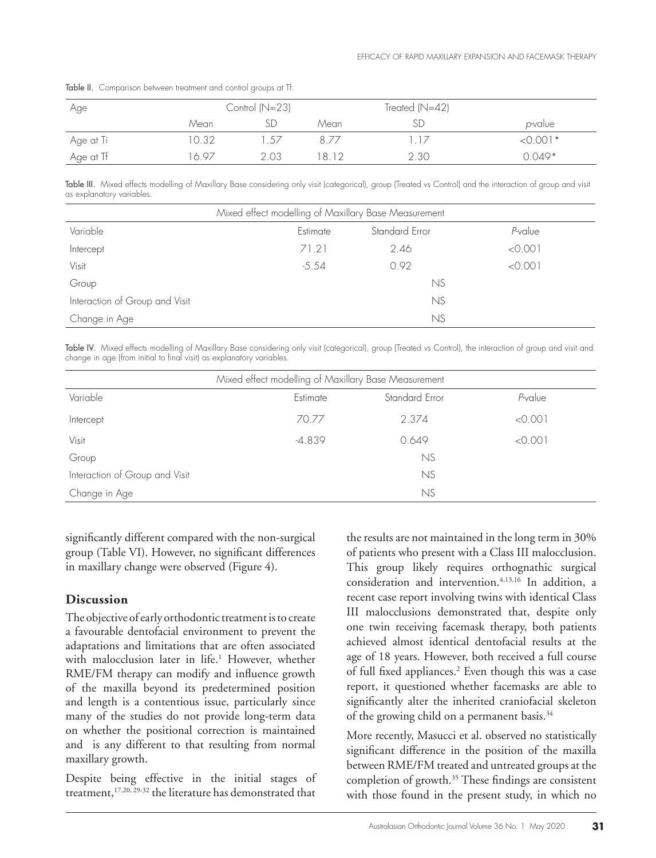| Age       |      | Control $(N=23)$ |      | Treated $(N=42)$ |                 |
|-----------|------|------------------|------|------------------|-----------------|
|           | Mean |                  | Mean |                  | <i>p</i> -value |
| Age at Ti | 0.32 | .57              |      | $\vert$ /        | $< 0.001*$      |
| Age at Tf | 697  | 2.03             | 8.12 | 2.30             | $0.049*$        |

Table II. Comparison between treatment and control groups at Tf.

Table III. Mixed effects modelling of Maxillary Base considering only visit (categorical), group (Treated vs Control) and the interaction of group and visit as explanatory variables.

| Mixed effect modelling of Maxillary Base Measurement |                                       |      |         |  |  |  |  |  |  |
|------------------------------------------------------|---------------------------------------|------|---------|--|--|--|--|--|--|
| Variable                                             | Standard Error<br>P-value<br>Estimate |      |         |  |  |  |  |  |  |
| Intercept                                            | 71.21                                 | 2.46 | < 0.001 |  |  |  |  |  |  |
| Visit                                                | $-5.54$                               | 0.92 | < 0.001 |  |  |  |  |  |  |
| Group                                                |                                       | NS   |         |  |  |  |  |  |  |
| Interaction of Group and Visit                       |                                       | NS   |         |  |  |  |  |  |  |
| Change in Age                                        |                                       | NS   |         |  |  |  |  |  |  |

Table IV. Mixed effects modelling of Maxillary Base considering only visit (categorical), group (Treated vs Control), the interaction of group and visit and change in age (from initial to final visit) as explanatory variables.

| Mixed effect modelling of Maxillary Base Measurement |          |                |         |  |  |  |  |  |
|------------------------------------------------------|----------|----------------|---------|--|--|--|--|--|
| Variable                                             | Estimate | Standard Error | P-value |  |  |  |  |  |
| Intercept                                            | 70.77    | 2.374          | < 0.001 |  |  |  |  |  |
| Visit                                                | $-4.839$ | 0.649          | < 0.001 |  |  |  |  |  |
| Group                                                |          | NS             |         |  |  |  |  |  |
| Interaction of Group and Visit                       |          | NS             |         |  |  |  |  |  |
| Change in Age                                        |          | NS             |         |  |  |  |  |  |

significantly different compared with the non-surgical group (Table VI). However, no significant differences in maxillary change were observed (Figure 4).

## **Discussion**

The objective of early orthodontic treatment is to create a favourable dentofacial environment to prevent the adaptations and limitations that are often associated with malocclusion later in life.<sup>1</sup> However, whether RME/FM therapy can modify and influence growth of the maxilla beyond its predetermined position and length is a contentious issue, particularly since many of the studies do not provide long-term data on whether the positional correction is maintained and is any different to that resulting from normal maxillary growth.

Despite being effective in the initial stages of treatment,17,20, 29-32 the literature has demonstrated that

the results are not maintained in the long term in 30% of patients who present with a Class III malocclusion. This group likely requires orthognathic surgical consideration and intervention.4,13,16 In addition, a recent case report involving twins with identical Class III malocclusions demonstrated that, despite only one twin receiving facemask therapy, both patients achieved almost identical dentofacial results at the age of 18 years. However, both received a full course of full fixed appliances.<sup>2</sup> Even though this was a case report, it questioned whether facemasks are able to significantly alter the inherited craniofacial skeleton of the growing child on a permanent basis.<sup>34</sup>

More recently, Masucci et al. observed no statistically significant difference in the position of the maxilla between RME/FM treated and untreated groups at the completion of growth.35 These findings are consistent with those found in the present study, in which no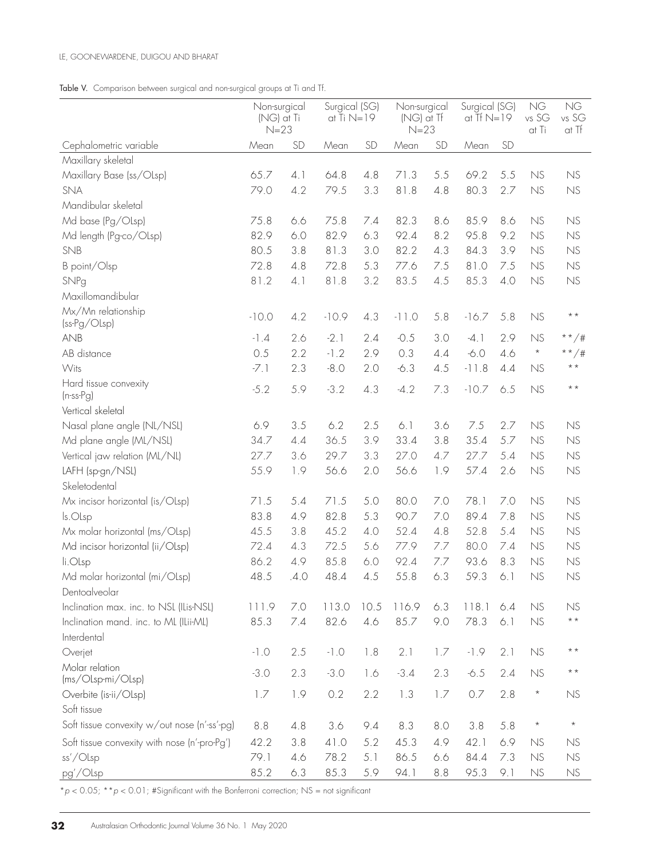#### LE, GOONEWARDENE, DUIGOU AND BHARAT

### Table V. Comparison between surgical and non-surgical groups at Ti and Tf.

|                                              | Non-surgical<br>Surgical (SG)<br>at Ti $N=19$<br>(NG) at Ti<br>$N=23$ |      |         | Non-surgical<br>(NG) at Tf<br>$N=23$ |         | Surgical (SG)<br>at Tf $N=19$ |         | <b>NG</b><br>vs SG<br>at Ti | <b>NG</b><br>vs SG<br>at Tf |                 |
|----------------------------------------------|-----------------------------------------------------------------------|------|---------|--------------------------------------|---------|-------------------------------|---------|-----------------------------|-----------------------------|-----------------|
| Cephalometric variable                       | Mean                                                                  | SD   | Mean    | <b>SD</b>                            | Mean    | SD                            | Mean    | SD                          |                             |                 |
| Maxillary skeletal                           |                                                                       |      |         |                                      |         |                               |         |                             |                             |                 |
| Maxillary Base (ss/OLsp)                     | 65.7                                                                  | 4.1  | 64.8    | 4.8                                  | 71.3    | 5.5                           | 69.2    | 5.5                         | NS                          | NS              |
| SNA                                          | 79.0                                                                  | 4.2  | 79.5    | 3.3                                  | 81.8    | 4.8                           | 80.3    | 2.7                         | NS                          | NS              |
| Mandibular skeletal                          |                                                                       |      |         |                                      |         |                               |         |                             |                             |                 |
| Md base (Pg/OLsp)                            | 75.8                                                                  | 6.6  | 75.8    | 7.4                                  | 82.3    | 8.6                           | 85.9    | 8.6                         | NS                          | NS              |
| Md length (Pg-co/OLsp)                       | 82.9                                                                  | 6.0  | 82.9    | 6.3                                  | 92.4    | 8.2                           | 95.8    | 9.2                         | NS                          | NS              |
| SNB                                          | 80.5                                                                  | 3.8  | 81.3    | 3.0                                  | 82.2    | 4.3                           | 84.3    | 3.9                         | NS                          | NS              |
| B point/Olsp                                 | 72.8                                                                  | 4.8  | 72.8    | 5.3                                  | 77.6    | 7.5                           | 81.0    | 7.5                         | NS                          | NS              |
| SNPg                                         | 81.2                                                                  | 4.1  | 81.8    | 3.2                                  | 83.5    | 4.5                           | 85.3    | 4.0                         | NS                          | NS              |
| Maxillomandibular                            |                                                                       |      |         |                                      |         |                               |         |                             |                             |                 |
| Mx/Mn relationship<br>(ss-Pg/OLsp)           | $-10.0$                                                               | 4.2  | $-10.9$ | 4.3                                  | $-11.0$ | 5.8                           | $-16.7$ | 5.8                         | NS                          | $\star$ $\star$ |
| <b>ANB</b>                                   | $-1.4$                                                                | 2.6  | $-2.1$  | 2.4                                  | $-0.5$  | 3.0                           | $-4.1$  | 2.9                         | NS                          | * * $/$ #       |
| AB distance                                  | 0.5                                                                   | 2.2  | $-1.2$  | 2.9                                  | 0.3     | 4.4                           | $-6.0$  | 4.6                         | $\star$                     | **/#            |
| Wits                                         | $-7.1$                                                                | 2.3  | $-8.0$  | 2.0                                  | $-6.3$  | 4.5                           | $-11.8$ | 4.4                         | NS                          | $\star$ $\star$ |
| Hard tissue convexity<br>$(n-ss-Pg)$         | $-5.2$                                                                | 5.9  | $-3.2$  | 4.3                                  | $-4.2$  | 7.3                           | $-10.7$ | 6.5                         | NS                          | $\star$ $\star$ |
| Vertical skeletal                            |                                                                       |      |         |                                      |         |                               |         |                             |                             |                 |
| Nasal plane angle (NL/NSL)                   | 6.9                                                                   | 3.5  | 6.2     | 2.5                                  | 6.1     | 3.6                           | 7.5     | 2.7                         | NS                          | NS              |
| Md plane angle (ML/NSL)                      | 34.7                                                                  | 4.4  | 36.5    | 3.9                                  | 33.4    | 3.8                           | 35.4    | 5.7                         | NS                          | NS              |
| Vertical jaw relation (ML/NL)                | 27.7                                                                  | 3.6  | 29.7    | 3.3                                  | 27.0    | 4.7                           | 27.7    | 5.4                         | NS                          | NS              |
| LAFH (sp-gn/NSL)                             | 55.9                                                                  | 1.9  | 56.6    | 2.0                                  | 56.6    | 1.9                           | 57.4    | 2.6                         | NS                          | NS              |
| Skeletodental                                |                                                                       |      |         |                                      |         |                               |         |                             |                             |                 |
| Mx incisor horizontal (is/Olsp)              | 71.5                                                                  | 5.4  | 71.5    | 5.0                                  | 80.0    | 7.0                           | 78.1    | 7.0                         | NS                          | NS              |
| ls.OLsp                                      | 83.8                                                                  | 4.9  | 82.8    | 5.3                                  | 90.7    | 7.0                           | 89.4    | 7.8                         | NS                          | NS              |
| Mx molar horizontal (ms/OLsp)                | 45.5                                                                  | 3.8  | 45.2    | 4.0                                  | 52.4    | 4.8                           | 52.8    | 5.4                         | NS                          | NS              |
| Md incisor horizontal (ii/OLsp)              | 72.4                                                                  | 4.3  | 72.5    | 5.6                                  | 77.9    | 7.7                           | 80.0    | 7.4                         | NS                          | NS              |
| li.OLsp                                      | 86.2                                                                  | 4.9  | 85.8    | 6.0                                  | 92.4    | 7.7                           | 93.6    | 8.3                         | NS                          | NS              |
| Md molar horizontal (mi/OLsp)                | 48.5                                                                  | .4.0 | 48.4    | 4.5                                  | 55.8    | 6.3                           | 59.3    | 6.1                         | NS                          | NS              |
| Dentoalveolar                                |                                                                       |      |         |                                      |         |                               |         |                             |                             |                 |
| Inclination max. inc. to NSL (ILis-NSL)      | 111.9                                                                 | 7.0  | 113.0   | 10.5                                 | 116.9   | 6.3                           | 118.1   | 6.4                         | NS                          | NS              |
| Inclination mand. inc. to ML (ILii-ML)       | 85.3                                                                  | 7.4  | 82.6    | 4.6                                  | 85.7    | 9.0                           | 78.3    | 6.1                         | NS                          | $\star$ $\star$ |
| Interdental                                  |                                                                       |      |         |                                      |         |                               |         |                             |                             |                 |
| Overjet                                      | $-1.0$                                                                | 2.5  | $-1.0$  | 1.8                                  | 2.1     | 1.7                           | $-1.9$  | 2.1                         | NS                          | $* *$           |
| Molar relation<br>(ms/Olsp-mi/Olsp)          | $-3.0$                                                                | 2.3  | $-3.0$  | 1.6                                  | $-3.4$  | 2.3                           | $-6.5$  | 2.4                         | NS                          | $\star$ $\star$ |
| Overbite (is-ii/Olsp)                        | 1.7                                                                   | 1.9  | 0.2     | 2.2                                  | 1.3     | 1.7                           | 0.7     | 2.8                         | $\star$                     | NS              |
| Soft tissue                                  |                                                                       |      |         |                                      |         |                               |         |                             |                             |                 |
| Soft tissue convexity w/out nose (n'-ss'-pg) | 8.8                                                                   | 4.8  | 3.6     | 9.4                                  | 8.3     | 8.0                           | 3.8     | 5.8                         | $\star$                     | $\star$         |
| Soft tissue convexity with nose (n'-pro-Pg') | 42.2                                                                  | 3.8  | 41.0    | 5.2                                  | 45.3    | 4.9                           | 42.1    | 6.9                         | NS                          | <b>NS</b>       |
| ss'/Olsp                                     | 79.1                                                                  | 4.6  | 78.2    | 5.1                                  | 86.5    | 6.6                           | 84.4    | 7.3                         | NS                          | NS              |
| pg'/Olsp                                     | 85.2                                                                  | 6.3  | 85.3    | 5.9                                  | 94.1    | 8.8                           | 95.3    | 9.1                         | NS                          | NS              |

\**p* < 0.05; \*\**p* < 0.01; #Significant with the Bonferroni correction; NS = not significant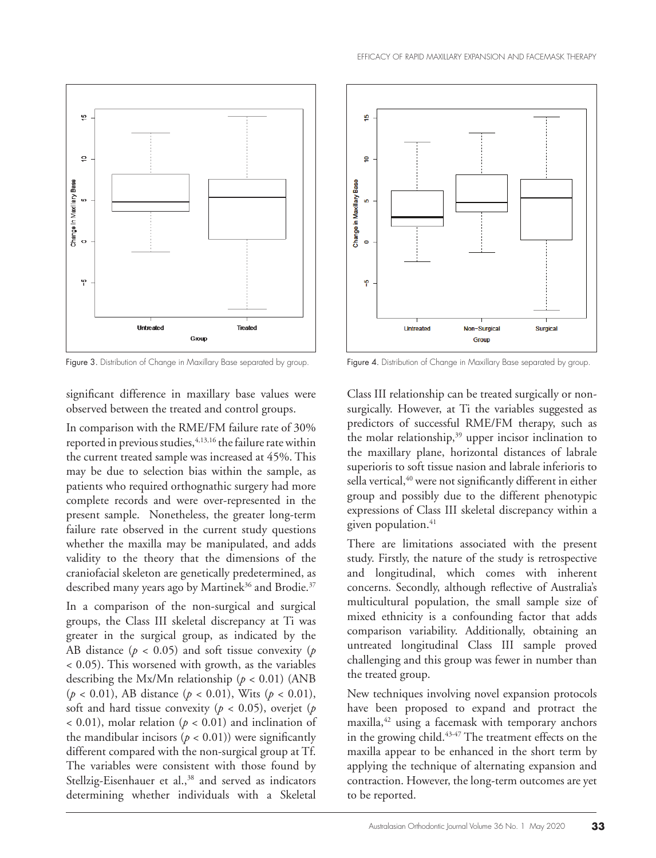



Figure 3. Distribution of Change in Maxillary Base separated by group. Figure 4. Distribution of Change in Maxillary Base separated by group.

significant difference in maxillary base values were observed between the treated and control groups.

In comparison with the RME/FM failure rate of 30% reported in previous studies, <sup>4,13,16</sup> the failure rate within the current treated sample was increased at 45%. This may be due to selection bias within the sample, as patients who required orthognathic surgery had more complete records and were over-represented in the present sample. Nonetheless, the greater long-term failure rate observed in the current study questions whether the maxilla may be manipulated, and adds validity to the theory that the dimensions of the craniofacial skeleton are genetically predetermined, as described many years ago by Martinek<sup>36</sup> and Brodie.<sup>37</sup>

In a comparison of the non-surgical and surgical groups, the Class III skeletal discrepancy at Ti was greater in the surgical group, as indicated by the AB distance ( $p < 0.05$ ) and soft tissue convexity ( $p$ ) < 0.05). This worsened with growth, as the variables describing the Mx/Mn relationship ( $p < 0.01$ ) (ANB (*p* < 0.01), AB distance (*p* < 0.01), Wits (*p* < 0.01), soft and hard tissue convexity ( $p < 0.05$ ), overjet ( $p$  $<$  0.01), molar relation ( $p$   $<$  0.01) and inclination of the mandibular incisors  $(p < 0.01)$ ) were significantly different compared with the non-surgical group at Tf. The variables were consistent with those found by Stellzig-Eisenhauer et al.,<sup>38</sup> and served as indicators determining whether individuals with a Skeletal



Class III relationship can be treated surgically or nonsurgically. However, at Ti the variables suggested as predictors of successful RME/FM therapy, such as the molar relationship,<sup>39</sup> upper incisor inclination to the maxillary plane, horizontal distances of labrale superioris to soft tissue nasion and labrale inferioris to sella vertical,<sup>40</sup> were not significantly different in either group and possibly due to the different phenotypic expressions of Class III skeletal discrepancy within a given population.<sup>41</sup>

There are limitations associated with the present study. Firstly, the nature of the study is retrospective and longitudinal, which comes with inherent concerns. Secondly, although reflective of Australia's multicultural population, the small sample size of mixed ethnicity is a confounding factor that adds comparison variability. Additionally, obtaining an untreated longitudinal Class III sample proved challenging and this group was fewer in number than the treated group.

New techniques involving novel expansion protocols have been proposed to expand and protract the maxilla,42 using a facemask with temporary anchors in the growing child.<sup>43-47</sup> The treatment effects on the maxilla appear to be enhanced in the short term by applying the technique of alternating expansion and contraction. However, the long-term outcomes are yet to be reported.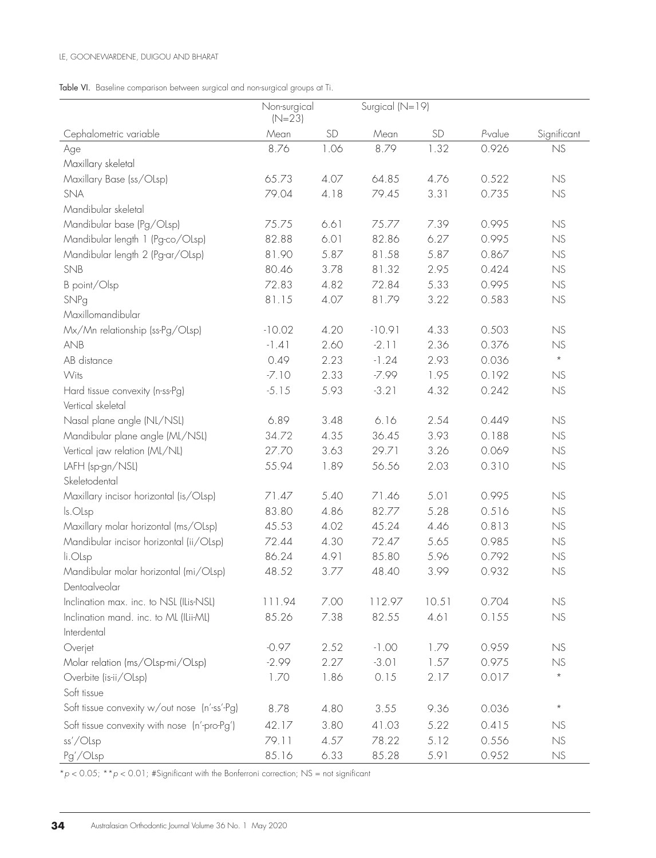Table VI. Baseline comparison between surgical and non-surgical groups at Ti.

|                                              | Non-surgical<br>$(N=23)$ |      | Surgical (N=19) |       |         |                                   |
|----------------------------------------------|--------------------------|------|-----------------|-------|---------|-----------------------------------|
| Cephalometric variable                       | Mean                     | SD   | Mean            | SD    | P-value | Significant                       |
| Age                                          | 8.76                     | 1.06 | 8.79            | 1.32  | 0.926   | NS                                |
| Maxillary skeletal                           |                          |      |                 |       |         |                                   |
| Maxillary Base (ss/OLsp)                     | 65.73                    | 4.07 | 64.85           | 4.76  | 0.522   | NS                                |
| <b>SNA</b>                                   | 79.04                    | 4.18 | 79.45           | 3.31  | 0.735   | NS                                |
| Mandibular skeletal                          |                          |      |                 |       |         |                                   |
| Mandibular base (Pg/OLsp)                    | 75.75                    | 6.61 | 75.77           | 7.39  | 0.995   | ${\sf NS}$                        |
| Mandibular length 1 (Pg-co/OLsp)             | 82.88                    | 6.01 | 82.86           | 6.27  | 0.995   | NS                                |
| Mandibular length 2 (Pg-ar/OLsp)             | 81.90                    | 5.87 | 81.58           | 5.87  | 0.867   | NS                                |
| SNB                                          | 80.46                    | 3.78 | 81.32           | 2.95  | 0.424   | NS                                |
| B point/Olsp                                 | 72.83                    | 4.82 | 72.84           | 5.33  | 0.995   | NS                                |
| SNPg                                         | 81.15                    | 4.07 | 81.79           | 3.22  | 0.583   | NS                                |
| Maxillomandibular                            |                          |      |                 |       |         |                                   |
| Mx/Mn relationship (ss-Pg/OLsp)              | $-10.02$                 | 4.20 | $-10.91$        | 4.33  | 0.503   | NS                                |
| <b>ANB</b>                                   | $-1.41$                  | 2.60 | $-2.11$         | 2.36  | 0.376   | NS                                |
| AB distance                                  | 0.49                     | 2.23 | $-1.24$         | 2.93  | 0.036   | $\star$                           |
| Wits                                         | $-7.10$                  | 2.33 | $-7.99$         | 1.95  | 0.192   | NS                                |
| Hard tissue convexity (n-ss-Pg)              | $-5.15$                  | 5.93 | $-3.21$         | 4.32  | 0.242   | NS                                |
| Vertical skeletal                            |                          |      |                 |       |         |                                   |
| Nasal plane angle (NL/NSL)                   | 6.89                     | 3.48 | 6.16            | 2.54  | 0.449   | NS                                |
| Mandibular plane angle (ML/NSL)              | 34.72                    | 4.35 | 36.45           | 3.93  | 0.188   | NS                                |
| Vertical jaw relation (ML/NL)                | 27.70                    | 3.63 | 29.71           | 3.26  | 0.069   | ${\sf NS}$                        |
| LAFH (sp-gn/NSL)                             | 55.94                    | 1.89 | 56.56           | 2.03  | 0.310   | NS                                |
| Skeletodental                                |                          |      |                 |       |         |                                   |
| Maxillary incisor horizontal (is/OLsp)       | 71.47                    | 5.40 | 71.46           | 5.01  | 0.995   | NS                                |
| ls.OLsp                                      | 83.80                    | 4.86 | 82.77           | 5.28  | 0.516   | NS                                |
| Maxillary molar horizontal (ms/OLsp)         | 45.53                    | 4.02 | 45.24           | 4.46  | 0.813   | NS                                |
| Mandibular incisor horizontal (ii/OLsp)      | 72.44                    | 4.30 | 72.47           | 5.65  | 0.985   | NS                                |
| li.OLsp                                      | 86.24                    | 4.91 | 85.80           | 5.96  | 0.792   | NS                                |
| Mandibular molar horizontal (mi/OLsp)        | 48.52                    | 3.77 | 48.40           | 3.99  | 0.932   | NS                                |
| Dentoalveolar                                |                          |      |                 |       |         |                                   |
| Inclination max. inc. to NSL (ILis-NSL)      | 111.94                   | 7.00 | 112.97          | 10.51 | 0.704   | <b>NS</b>                         |
| Inclination mand. inc. to ML (ILii-ML)       | 85.26                    | 7.38 | 82.55           | 4.61  | 0.155   | $\ensuremath{\mathsf{NS}}\xspace$ |
| Interdental                                  |                          |      |                 |       |         |                                   |
| Overjet                                      | $-0.97$                  | 2.52 | $-1.00$         | 1.79  | 0.959   | NS                                |
| Molar relation (ms/OLsp-mi/OLsp)             | $-2.99$                  | 2.27 | $-3.01$         | 1.57  | 0.975   | NS                                |
| Overbite (is-ii/OLsp)                        | 1.70                     | 1.86 | 0.15            | 2.17  | 0.017   | $\star$                           |
| Soft tissue                                  |                          |      |                 |       |         |                                   |
| Soft tissue convexity w/out nose (n'-ss'-Pg) | 8.78                     | 4.80 | 3.55            | 9.36  | 0.036   | $\star$                           |
| Soft tissue convexity with nose (n'-pro-Pg') | 42.17                    | 3.80 | 41.03           | 5.22  | 0.415   | NS                                |
| ss'/OLsp                                     | 79.11                    | 4.57 | 78.22           | 5.12  | 0.556   | ${\rm NS}$                        |
| Pg'/OLsp                                     | 85.16                    | 6.33 | 85.28           | 5.91  | 0.952   | NS                                |

\**p* < 0.05; \*\**p* < 0.01; #Significant with the Bonferroni correction; NS = not significant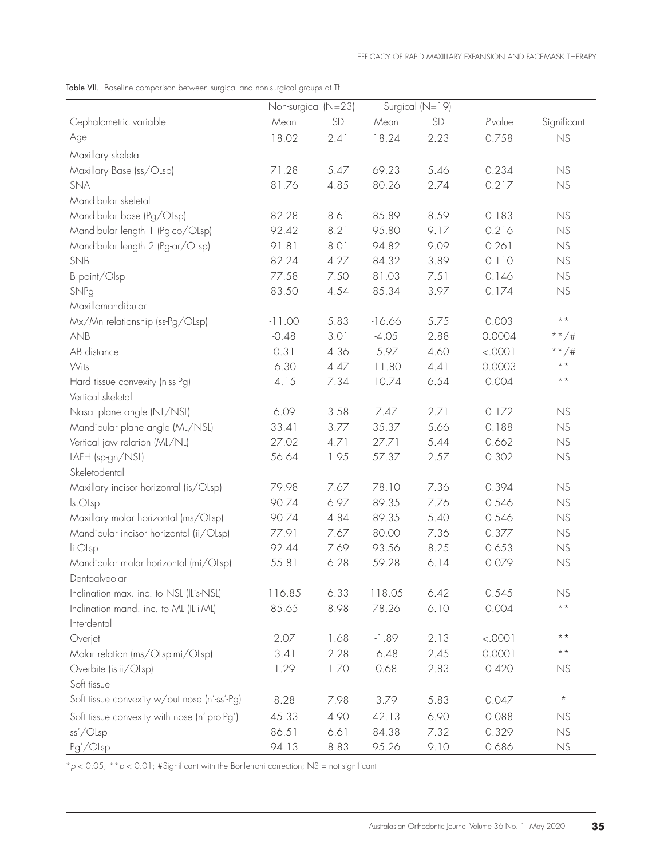Table VII. Baseline comparison between surgical and non-surgical groups at Tf.

|                                              | Non-surgical (N=23) |      |          | Surgical (N=19) |         |                 |
|----------------------------------------------|---------------------|------|----------|-----------------|---------|-----------------|
| Cephalometric variable                       | Mean                | SD   | Mean     | <b>SD</b>       | P-value | Significant     |
| Age                                          | 18.02               | 2.41 | 18.24    | 2.23            | 0.758   | NS              |
| Maxillary skeletal                           |                     |      |          |                 |         |                 |
| Maxillary Base (ss/OLsp)                     | 71.28               | 5.47 | 69.23    | 5.46            | 0.234   | NS              |
| <b>SNA</b>                                   | 81.76               | 4.85 | 80.26    | 2.74            | 0.217   | NS              |
| Mandibular skeletal                          |                     |      |          |                 |         |                 |
| Mandibular base (Pg/OLsp)                    | 82.28               | 8.61 | 85.89    | 8.59            | 0.183   | NS              |
| Mandibular length 1 (Pg-co/OLsp)             | 92.42               | 8.21 | 95.80    | 9.17            | 0.216   | NS              |
| Mandibular length 2 (Pg-ar/OLsp)             | 91.81               | 8.01 | 94.82    | 9.09            | 0.261   | NS              |
| SNB                                          | 82.24               | 4.27 | 84.32    | 3.89            | 0.110   | NS              |
| B point/Olsp                                 | 77.58               | 7.50 | 81.03    | 7.51            | 0.146   | NS              |
| SNPg                                         | 83.50               | 4.54 | 85.34    | 3.97            | 0.174   | ${\sf NS}$      |
| Maxillomandibular                            |                     |      |          |                 |         |                 |
| Mx/Mn relationship (ss-Pg/OLsp)              | $-11.00$            | 5.83 | $-16.66$ | 5.75            | 0.003   | $\star$ $\star$ |
| <b>ANB</b>                                   | $-0.48$             | 3.01 | $-4.05$  | 2.88            | 0.0004  | $**/#$          |
| AB distance                                  | 0.31                | 4.36 | $-5.97$  | 4.60            | < .0001 | **/#            |
| Wits                                         | $-6.30$             | 4.47 | $-11.80$ | 4.41            | 0.0003  | $\star$ $\star$ |
| Hard tissue convexity (n-ss-Pg)              | $-4.15$             | 7.34 | $-10.74$ | 6.54            | 0.004   | $\star$ $\star$ |
| Vertical skeletal                            |                     |      |          |                 |         |                 |
| Nasal plane angle (NL/NSL)                   | 6.09                | 3.58 | 7.47     | 2.71            | 0.172   | NS              |
| Mandibular plane angle (ML/NSL)              | 33.41               | 3.77 | 35.37    | 5.66            | 0.188   | NS              |
| Vertical jaw relation (ML/NL)                | 27.02               | 4.71 | 27.71    | 5.44            | 0.662   | NS              |
| LAFH (sp-gn/NSL)                             | 56.64               | 1.95 | 57.37    | 2.57            | 0.302   | NS              |
| Skeletodental                                |                     |      |          |                 |         |                 |
| Maxillary incisor horizontal (is/OLsp)       | 79.98               | 7.67 | 78.10    | 7.36            | 0.394   | NS              |
| ls.OLsp                                      | 90.74               | 6.97 | 89.35    | 7.76            | 0.546   | NS              |
| Maxillary molar horizontal (ms/OLsp)         | 90.74               | 4.84 | 89.35    | 5.40            | 0.546   | NS              |
| Mandibular incisor horizontal (ii/OLsp)      | 77.91               | 7.67 | 80.00    | 7.36            | 0.377   | NS              |
| li.OLsp                                      | 92.44               | 7.69 | 93.56    | 8.25            | 0.653   | NS              |
| Mandibular molar horizontal (mi/OLsp)        | 55.81               | 6.28 | 59.28    | 6.14            | 0.079   | NS              |
| Dentoalveolar                                |                     |      |          |                 |         |                 |
| Inclination max. inc. to NSL (ILis-NSL)      | 116.85              | 6.33 | 118.05   | 6.42            | 0.545   | NS              |
| Inclination mand. inc. to ML (ILii-ML)       | 85.65               | 8.98 | 78.26    | 6.10            | 0.004   | $\star$ $\star$ |
| Interdental                                  |                     |      |          |                 |         |                 |
| Overjet                                      | 2.07                | 1.68 | $-1.89$  | 2.13            | < .0001 | $\star$ $\star$ |
| Molar relation (ms/OLsp-mi/OLsp)             | $-3.41$             | 2.28 | $-6.48$  | 2.45            | 0.0001  | $\star$ $\star$ |
| Overbite (is-ii/OLsp)                        | 1.29                | 1.70 | 0.68     | 2.83            | 0.420   | NS              |
| Soft tissue                                  |                     |      |          |                 |         |                 |
| Soft tissue convexity w/out nose (n'-ss'-Pg) | 8.28                | 7.98 | 3.79     | 5.83            | 0.047   | $^{\star}$      |
| Soft tissue convexity with nose (n'-pro-Pg') | 45.33               | 4.90 | 42.13    | 6.90            | 0.088   | NS              |
| ss'/Olsp                                     | 86.51               | 6.61 | 84.38    | 7.32            | 0.329   | ${\rm NS}$      |
| Pg'/OLsp                                     | 94.13               | 8.83 | 95.26    | 9.10            | 0.686   | ${\rm NS}$      |

\**p* < 0.05; \*\**p* < 0.01; #Significant with the Bonferroni correction; NS = not significant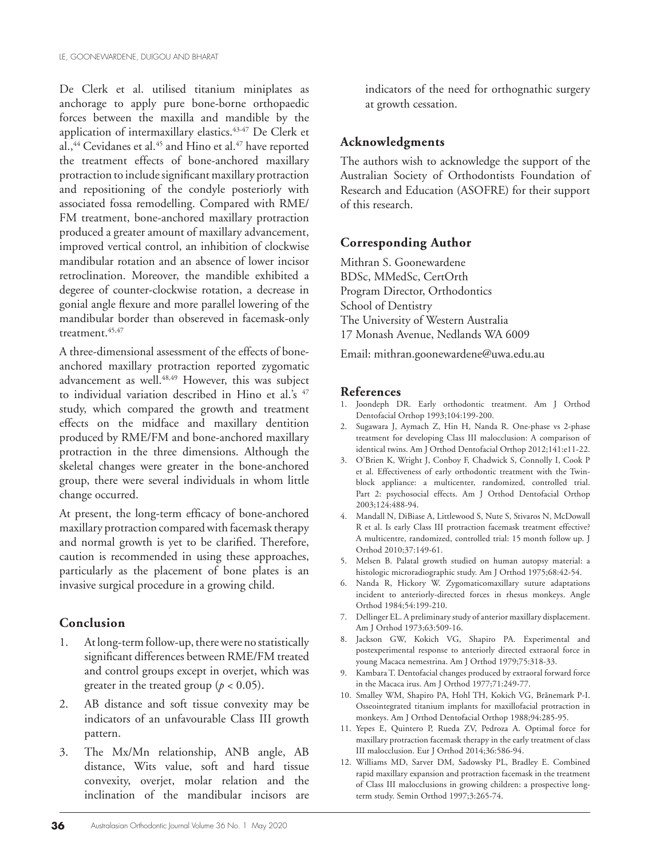De Clerk et al. utilised titanium miniplates as anchorage to apply pure bone-borne orthopaedic forces between the maxilla and mandible by the application of intermaxillary elastics.<sup>43-47</sup> De Clerk et al.,<sup>44</sup> Cevidanes et al.<sup>45</sup> and Hino et al.<sup>47</sup> have reported the treatment effects of bone-anchored maxillary protraction to include significant maxillary protraction and repositioning of the condyle posteriorly with associated fossa remodelling. Compared with RME/ FM treatment, bone-anchored maxillary protraction produced a greater amount of maxillary advancement, improved vertical control, an inhibition of clockwise mandibular rotation and an absence of lower incisor retroclination. Moreover, the mandible exhibited a degeree of counter-clockwise rotation, a decrease in gonial angle flexure and more parallel lowering of the mandibular border than obsereved in facemask-only treatment.45,47

A three-dimensional assessment of the effects of boneanchored maxillary protraction reported zygomatic advancement as well.<sup>48,49</sup> However, this was subject to individual variation described in Hino et al.'s <sup>47</sup> study, which compared the growth and treatment effects on the midface and maxillary dentition produced by RME/FM and bone-anchored maxillary protraction in the three dimensions. Although the skeletal changes were greater in the bone-anchored group, there were several individuals in whom little change occurred.

At present, the long-term efficacy of bone-anchored maxillary protraction compared with facemask therapy and normal growth is yet to be clarified. Therefore, caution is recommended in using these approaches, particularly as the placement of bone plates is an invasive surgical procedure in a growing child.

## **Conclusion**

- 1. At long-term follow-up, there were no statistically significant differences between RME/FM treated and control groups except in overjet, which was greater in the treated group ( $p < 0.05$ ).
- 2. AB distance and soft tissue convexity may be indicators of an unfavourable Class III growth pattern.
- 3. The Mx/Mn relationship, ANB angle, AB distance, Wits value, soft and hard tissue convexity, overjet, molar relation and the inclination of the mandibular incisors are

indicators of the need for orthognathic surgery at growth cessation.

## **Acknowledgments**

The authors wish to acknowledge the support of the Australian Society of Orthodontists Foundation of Research and Education (ASOFRE) for their support of this research.

## **Corresponding Author**

Mithran S. Goonewardene BDSc, MMedSc, CertOrth Program Director, Orthodontics School of Dentistry The University of Western Australia 17 Monash Avenue, Nedlands WA 6009

Email: mithran.goonewardene@uwa.edu.au

## **References**

- 1. Joondeph DR. Early orthodontic treatment. Am J Orthod Dentofacial Orthop 1993;104:199-200.
- 2. Sugawara J, Aymach Z, Hin H, Nanda R. One-phase vs 2-phase treatment for developing Class III malocclusion: A comparison of identical twins. Am J Orthod Dentofacial Orthop 2012;141:e11-22.
- 3. O'Brien K, Wright J, Conboy F, Chadwick S, Connolly I, Cook P et al. Effectiveness of early orthodontic treatment with the Twinblock appliance: a multicenter, randomized, controlled trial. Part 2: psychosocial effects. Am J Orthod Dentofacial Orthop 2003;124:488-94.
- 4. Mandall N, DiBiase A, Littlewood S, Nute S, Stivaros N, McDowall R et al. Is early Class III protraction facemask treatment effective? A multicentre, randomized, controlled trial: 15 month follow up. J Orthod 2010;37:149-61.
- 5. Melsen B. Palatal growth studied on human autopsy material: a histologic microradiographic study. Am J Orthod 1975;68:42-54.
- 6. Nanda R, Hickory W. Zygomaticomaxillary suture adaptations incident to anteriorly-directed forces in rhesus monkeys. Angle Orthod 1984;54:199-210.
- 7. Dellinger EL. A preliminary study of anterior maxillary displacement. Am J Orthod 1973;63:509-16.
- 8. Jackson GW, Kokich VG, Shapiro PA. Experimental and postexperimental response to anteriorly directed extraoral force in young Macaca nemestrina. Am J Orthod 1979;75:318-33.
- 9. Kambara T. Dentofacial changes produced by extraoral forward force in the Macaca irus. Am J Orthod 1977;71:249-77.
- 10. Smalley WM, Shapiro PA, Hohl TH, Kokich VG, Brånemark P-I. Osseointegrated titanium implants for maxillofacial protraction in monkeys. Am J Orthod Dentofacial Orthop 1988;94:285-95.
- 11. Yepes E, Quintero P, Rueda ZV, Pedroza A. Optimal force for maxillary protraction facemask therapy in the early treatment of class III malocclusion. Eur J Orthod 2014;36:586-94.
- 12. Williams MD, Sarver DM, Sadowsky PL, Bradley E. Combined rapid maxillary expansion and protraction facemask in the treatment of Class III malocclusions in growing children: a prospective longterm study. Semin Orthod 1997;3:265-74.